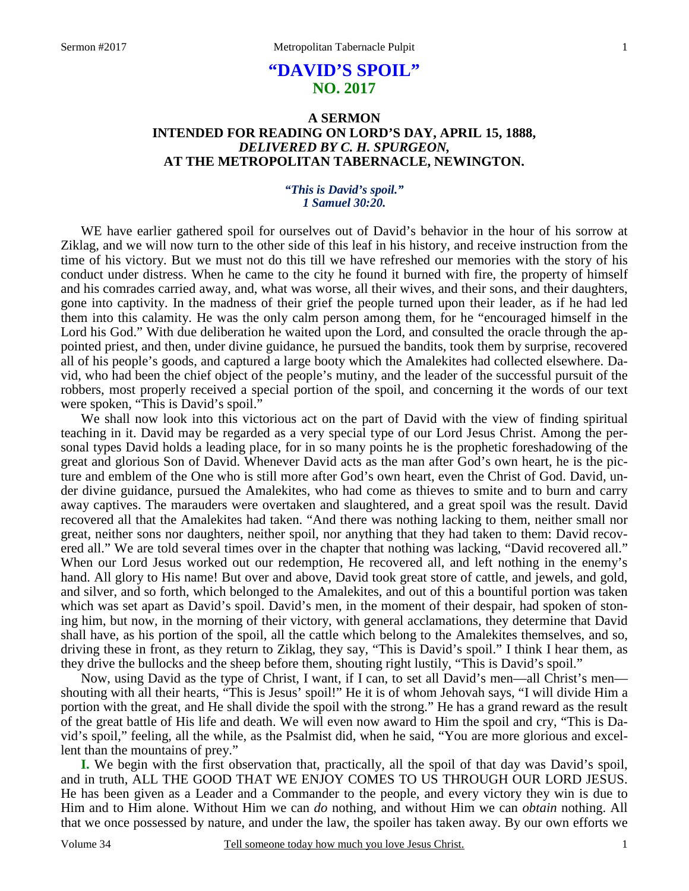# **"DAVID'S SPOIL" NO. 2017**

## **A SERMON INTENDED FOR READING ON LORD'S DAY, APRIL 15, 1888,** *DELIVERED BY C. H. SPURGEON,*  **AT THE METROPOLITAN TABERNACLE, NEWINGTON.**

### *"This is David's spoil." 1 Samuel 30:20.*

WE have earlier gathered spoil for ourselves out of David's behavior in the hour of his sorrow at Ziklag, and we will now turn to the other side of this leaf in his history, and receive instruction from the time of his victory. But we must not do this till we have refreshed our memories with the story of his conduct under distress. When he came to the city he found it burned with fire, the property of himself and his comrades carried away, and, what was worse, all their wives, and their sons, and their daughters, gone into captivity. In the madness of their grief the people turned upon their leader, as if he had led them into this calamity. He was the only calm person among them, for he "encouraged himself in the Lord his God." With due deliberation he waited upon the Lord, and consulted the oracle through the appointed priest, and then, under divine guidance, he pursued the bandits, took them by surprise, recovered all of his people's goods, and captured a large booty which the Amalekites had collected elsewhere. David, who had been the chief object of the people's mutiny, and the leader of the successful pursuit of the robbers, most properly received a special portion of the spoil, and concerning it the words of our text were spoken, "This is David's spoil."

We shall now look into this victorious act on the part of David with the view of finding spiritual teaching in it. David may be regarded as a very special type of our Lord Jesus Christ. Among the personal types David holds a leading place, for in so many points he is the prophetic foreshadowing of the great and glorious Son of David. Whenever David acts as the man after God's own heart, he is the picture and emblem of the One who is still more after God's own heart, even the Christ of God. David, under divine guidance, pursued the Amalekites, who had come as thieves to smite and to burn and carry away captives. The marauders were overtaken and slaughtered, and a great spoil was the result. David recovered all that the Amalekites had taken. "And there was nothing lacking to them, neither small nor great, neither sons nor daughters, neither spoil, nor anything that they had taken to them: David recovered all." We are told several times over in the chapter that nothing was lacking, "David recovered all." When our Lord Jesus worked out our redemption, He recovered all, and left nothing in the enemy's hand. All glory to His name! But over and above, David took great store of cattle, and jewels, and gold, and silver, and so forth, which belonged to the Amalekites, and out of this a bountiful portion was taken which was set apart as David's spoil. David's men, in the moment of their despair, had spoken of stoning him, but now, in the morning of their victory, with general acclamations, they determine that David shall have, as his portion of the spoil, all the cattle which belong to the Amalekites themselves, and so, driving these in front, as they return to Ziklag, they say, "This is David's spoil." I think I hear them, as they drive the bullocks and the sheep before them, shouting right lustily, "This is David's spoil."

Now, using David as the type of Christ, I want, if I can, to set all David's men—all Christ's men shouting with all their hearts, "This is Jesus' spoil!" He it is of whom Jehovah says, "I will divide Him a portion with the great, and He shall divide the spoil with the strong." He has a grand reward as the result of the great battle of His life and death. We will even now award to Him the spoil and cry, "This is David's spoil," feeling, all the while, as the Psalmist did, when he said, "You are more glorious and excellent than the mountains of prey."

**I.** We begin with the first observation that, practically, all the spoil of that day was David's spoil, and in truth, ALL THE GOOD THAT WE ENJOY COMES TO US THROUGH OUR LORD JESUS. He has been given as a Leader and a Commander to the people, and every victory they win is due to Him and to Him alone. Without Him we can *do* nothing, and without Him we can *obtain* nothing. All that we once possessed by nature, and under the law, the spoiler has taken away. By our own efforts we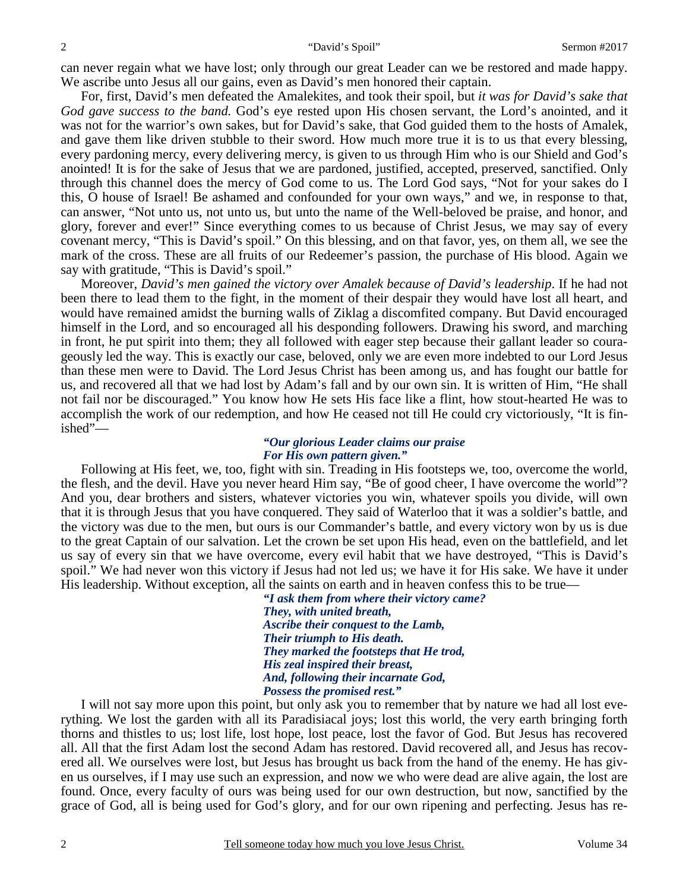can never regain what we have lost; only through our great Leader can we be restored and made happy. We ascribe unto Jesus all our gains, even as David's men honored their captain.

For, first, David's men defeated the Amalekites, and took their spoil, but *it was for David's sake that God gave success to the band.* God's eye rested upon His chosen servant, the Lord's anointed, and it was not for the warrior's own sakes, but for David's sake, that God guided them to the hosts of Amalek, and gave them like driven stubble to their sword. How much more true it is to us that every blessing, every pardoning mercy, every delivering mercy, is given to us through Him who is our Shield and God's anointed! It is for the sake of Jesus that we are pardoned, justified, accepted, preserved, sanctified. Only through this channel does the mercy of God come to us. The Lord God says, "Not for your sakes do I this, O house of Israel! Be ashamed and confounded for your own ways," and we, in response to that, can answer, "Not unto us, not unto us, but unto the name of the Well-beloved be praise, and honor, and glory, forever and ever!" Since everything comes to us because of Christ Jesus, we may say of every covenant mercy, "This is David's spoil." On this blessing, and on that favor, yes, on them all, we see the mark of the cross. These are all fruits of our Redeemer's passion, the purchase of His blood. Again we say with gratitude, "This is David's spoil."

Moreover, *David's men gained the victory over Amalek because of David's leadership*. If he had not been there to lead them to the fight, in the moment of their despair they would have lost all heart, and would have remained amidst the burning walls of Ziklag a discomfited company. But David encouraged himself in the Lord, and so encouraged all his desponding followers. Drawing his sword, and marching in front, he put spirit into them; they all followed with eager step because their gallant leader so courageously led the way. This is exactly our case, beloved, only we are even more indebted to our Lord Jesus than these men were to David. The Lord Jesus Christ has been among us, and has fought our battle for us, and recovered all that we had lost by Adam's fall and by our own sin. It is written of Him, "He shall not fail nor be discouraged." You know how He sets His face like a flint, how stout-hearted He was to accomplish the work of our redemption, and how He ceased not till He could cry victoriously, "It is finished"—

### *"Our glorious Leader claims our praise For His own pattern given."*

Following at His feet, we, too, fight with sin. Treading in His footsteps we, too, overcome the world, the flesh, and the devil. Have you never heard Him say, "Be of good cheer, I have overcome the world"? And you, dear brothers and sisters, whatever victories you win, whatever spoils you divide, will own that it is through Jesus that you have conquered. They said of Waterloo that it was a soldier's battle, and the victory was due to the men, but ours is our Commander's battle, and every victory won by us is due to the great Captain of our salvation. Let the crown be set upon His head, even on the battlefield, and let us say of every sin that we have overcome, every evil habit that we have destroyed, "This is David's spoil." We had never won this victory if Jesus had not led us; we have it for His sake. We have it under His leadership. Without exception, all the saints on earth and in heaven confess this to be true—

*"I ask them from where their victory came? They, with united breath, Ascribe their conquest to the Lamb, Their triumph to His death. They marked the footsteps that He trod, His zeal inspired their breast, And, following their incarnate God, Possess the promised rest."* 

I will not say more upon this point, but only ask you to remember that by nature we had all lost everything. We lost the garden with all its Paradisiacal joys; lost this world, the very earth bringing forth thorns and thistles to us; lost life, lost hope, lost peace, lost the favor of God. But Jesus has recovered all. All that the first Adam lost the second Adam has restored. David recovered all, and Jesus has recovered all. We ourselves were lost, but Jesus has brought us back from the hand of the enemy. He has given us ourselves, if I may use such an expression, and now we who were dead are alive again, the lost are found. Once, every faculty of ours was being used for our own destruction, but now, sanctified by the grace of God, all is being used for God's glory, and for our own ripening and perfecting. Jesus has re-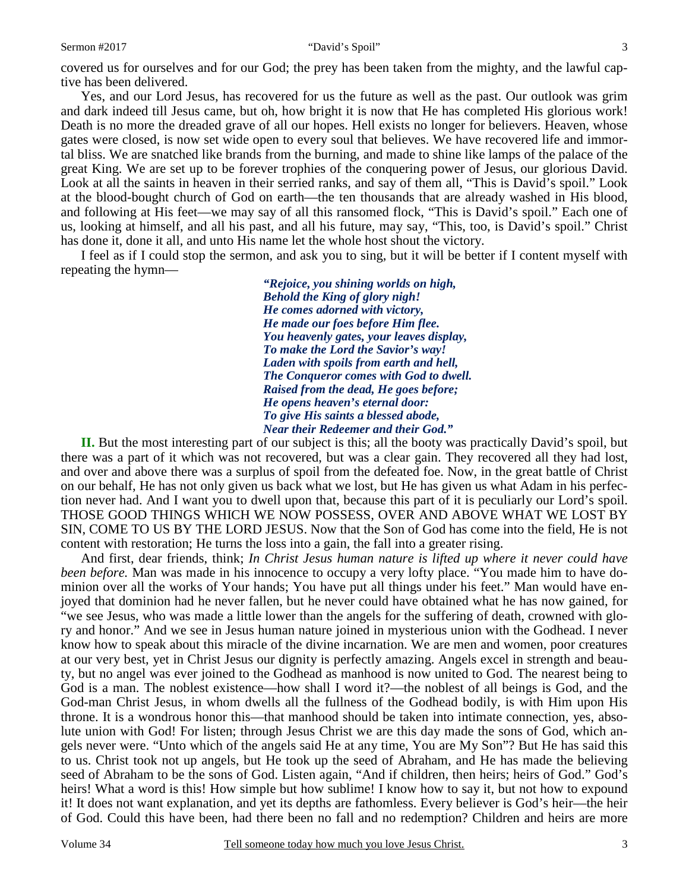### Sermon #2017 "David's Spoil"

3

covered us for ourselves and for our God; the prey has been taken from the mighty, and the lawful captive has been delivered.

Yes, and our Lord Jesus, has recovered for us the future as well as the past. Our outlook was grim and dark indeed till Jesus came, but oh, how bright it is now that He has completed His glorious work! Death is no more the dreaded grave of all our hopes. Hell exists no longer for believers. Heaven, whose gates were closed, is now set wide open to every soul that believes. We have recovered life and immortal bliss. We are snatched like brands from the burning, and made to shine like lamps of the palace of the great King. We are set up to be forever trophies of the conquering power of Jesus, our glorious David. Look at all the saints in heaven in their serried ranks, and say of them all, "This is David's spoil." Look at the blood-bought church of God on earth—the ten thousands that are already washed in His blood, and following at His feet—we may say of all this ransomed flock, "This is David's spoil." Each one of us, looking at himself, and all his past, and all his future, may say, "This, too, is David's spoil." Christ has done it, done it all, and unto His name let the whole host shout the victory.

I feel as if I could stop the sermon, and ask you to sing, but it will be better if I content myself with repeating the hymn—

> *"Rejoice, you shining worlds on high, Behold the King of glory nigh! He comes adorned with victory, He made our foes before Him flee. You heavenly gates, your leaves display, To make the Lord the Savior's way! Laden with spoils from earth and hell, The Conqueror comes with God to dwell. Raised from the dead, He goes before; He opens heaven's eternal door: To give His saints a blessed abode, Near their Redeemer and their God."*

**II.** But the most interesting part of our subject is this; all the booty was practically David's spoil, but there was a part of it which was not recovered, but was a clear gain. They recovered all they had lost, and over and above there was a surplus of spoil from the defeated foe. Now, in the great battle of Christ on our behalf, He has not only given us back what we lost, but He has given us what Adam in his perfection never had. And I want you to dwell upon that, because this part of it is peculiarly our Lord's spoil. THOSE GOOD THINGS WHICH WE NOW POSSESS, OVER AND ABOVE WHAT WE LOST BY SIN, COME TO US BY THE LORD JESUS. Now that the Son of God has come into the field, He is not content with restoration; He turns the loss into a gain, the fall into a greater rising.

And first, dear friends, think; *In Christ Jesus human nature is lifted up where it never could have been before.* Man was made in his innocence to occupy a very lofty place. "You made him to have dominion over all the works of Your hands; You have put all things under his feet." Man would have enjoyed that dominion had he never fallen, but he never could have obtained what he has now gained, for "we see Jesus, who was made a little lower than the angels for the suffering of death, crowned with glory and honor." And we see in Jesus human nature joined in mysterious union with the Godhead. I never know how to speak about this miracle of the divine incarnation. We are men and women, poor creatures at our very best, yet in Christ Jesus our dignity is perfectly amazing. Angels excel in strength and beauty, but no angel was ever joined to the Godhead as manhood is now united to God. The nearest being to God is a man. The noblest existence—how shall I word it?—the noblest of all beings is God, and the God-man Christ Jesus, in whom dwells all the fullness of the Godhead bodily, is with Him upon His throne. It is a wondrous honor this—that manhood should be taken into intimate connection, yes, absolute union with God! For listen; through Jesus Christ we are this day made the sons of God, which angels never were. "Unto which of the angels said He at any time, You are My Son"? But He has said this to us. Christ took not up angels, but He took up the seed of Abraham, and He has made the believing seed of Abraham to be the sons of God. Listen again, "And if children, then heirs; heirs of God." God's heirs! What a word is this! How simple but how sublime! I know how to say it, but not how to expound it! It does not want explanation, and yet its depths are fathomless. Every believer is God's heir—the heir of God. Could this have been, had there been no fall and no redemption? Children and heirs are more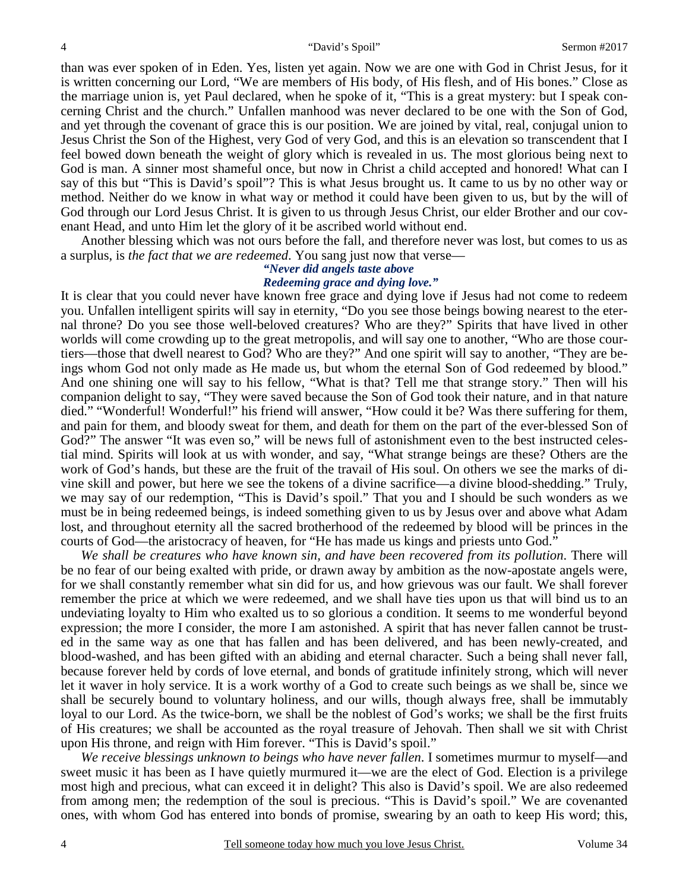than was ever spoken of in Eden. Yes, listen yet again. Now we are one with God in Christ Jesus, for it is written concerning our Lord, "We are members of His body, of His flesh, and of His bones." Close as the marriage union is, yet Paul declared, when he spoke of it, "This is a great mystery: but I speak concerning Christ and the church." Unfallen manhood was never declared to be one with the Son of God, and yet through the covenant of grace this is our position. We are joined by vital, real, conjugal union to Jesus Christ the Son of the Highest, very God of very God, and this is an elevation so transcendent that I feel bowed down beneath the weight of glory which is revealed in us. The most glorious being next to God is man. A sinner most shameful once, but now in Christ a child accepted and honored! What can I say of this but "This is David's spoil"? This is what Jesus brought us. It came to us by no other way or method. Neither do we know in what way or method it could have been given to us, but by the will of God through our Lord Jesus Christ. It is given to us through Jesus Christ, our elder Brother and our covenant Head, and unto Him let the glory of it be ascribed world without end.

Another blessing which was not ours before the fall, and therefore never was lost, but comes to us as a surplus, is *the fact that we are redeemed*. You sang just now that verse—

# *"Never did angels taste above*

*Redeeming grace and dying love."* 

It is clear that you could never have known free grace and dying love if Jesus had not come to redeem you. Unfallen intelligent spirits will say in eternity, "Do you see those beings bowing nearest to the eternal throne? Do you see those well-beloved creatures? Who are they?" Spirits that have lived in other worlds will come crowding up to the great metropolis, and will say one to another, "Who are those courtiers—those that dwell nearest to God? Who are they?" And one spirit will say to another, "They are beings whom God not only made as He made us, but whom the eternal Son of God redeemed by blood." And one shining one will say to his fellow, "What is that? Tell me that strange story." Then will his companion delight to say, "They were saved because the Son of God took their nature, and in that nature died." "Wonderful! Wonderful!" his friend will answer, "How could it be? Was there suffering for them, and pain for them, and bloody sweat for them, and death for them on the part of the ever-blessed Son of God?" The answer "It was even so," will be news full of astonishment even to the best instructed celestial mind. Spirits will look at us with wonder, and say, "What strange beings are these? Others are the work of God's hands, but these are the fruit of the travail of His soul. On others we see the marks of divine skill and power, but here we see the tokens of a divine sacrifice—a divine blood-shedding." Truly, we may say of our redemption, "This is David's spoil." That you and I should be such wonders as we must be in being redeemed beings, is indeed something given to us by Jesus over and above what Adam lost, and throughout eternity all the sacred brotherhood of the redeemed by blood will be princes in the courts of God—the aristocracy of heaven, for "He has made us kings and priests unto God."

*We shall be creatures who have known sin, and have been recovered from its pollution*. There will be no fear of our being exalted with pride, or drawn away by ambition as the now-apostate angels were, for we shall constantly remember what sin did for us, and how grievous was our fault. We shall forever remember the price at which we were redeemed, and we shall have ties upon us that will bind us to an undeviating loyalty to Him who exalted us to so glorious a condition. It seems to me wonderful beyond expression; the more I consider, the more I am astonished. A spirit that has never fallen cannot be trusted in the same way as one that has fallen and has been delivered, and has been newly-created, and blood-washed, and has been gifted with an abiding and eternal character. Such a being shall never fall, because forever held by cords of love eternal, and bonds of gratitude infinitely strong, which will never let it waver in holy service. It is a work worthy of a God to create such beings as we shall be, since we shall be securely bound to voluntary holiness, and our wills, though always free, shall be immutably loyal to our Lord. As the twice-born, we shall be the noblest of God's works; we shall be the first fruits of His creatures; we shall be accounted as the royal treasure of Jehovah. Then shall we sit with Christ upon His throne, and reign with Him forever. "This is David's spoil."

*We receive blessings unknown to beings who have never fallen*. I sometimes murmur to myself—and sweet music it has been as I have quietly murmured it—we are the elect of God. Election is a privilege most high and precious, what can exceed it in delight? This also is David's spoil. We are also redeemed from among men; the redemption of the soul is precious. "This is David's spoil." We are covenanted ones, with whom God has entered into bonds of promise, swearing by an oath to keep His word; this,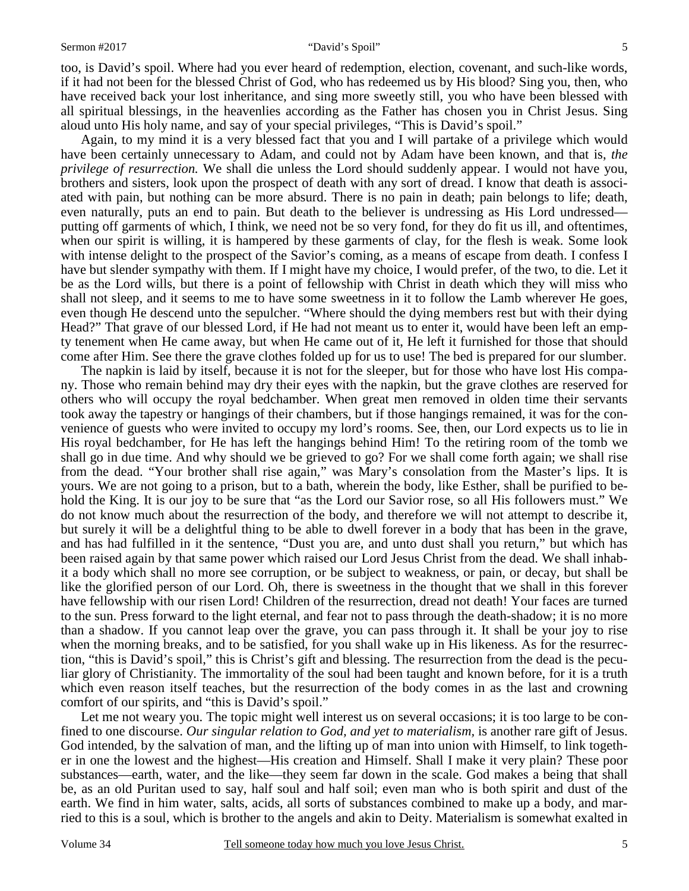too, is David's spoil. Where had you ever heard of redemption, election, covenant, and such-like words, if it had not been for the blessed Christ of God, who has redeemed us by His blood? Sing you, then, who have received back your lost inheritance, and sing more sweetly still, you who have been blessed with all spiritual blessings, in the heavenlies according as the Father has chosen you in Christ Jesus. Sing aloud unto His holy name, and say of your special privileges, "This is David's spoil."

Again, to my mind it is a very blessed fact that you and I will partake of a privilege which would have been certainly unnecessary to Adam, and could not by Adam have been known, and that is, *the privilege of resurrection.* We shall die unless the Lord should suddenly appear. I would not have you, brothers and sisters, look upon the prospect of death with any sort of dread. I know that death is associated with pain, but nothing can be more absurd. There is no pain in death; pain belongs to life; death, even naturally, puts an end to pain. But death to the believer is undressing as His Lord undressed putting off garments of which, I think, we need not be so very fond, for they do fit us ill, and oftentimes, when our spirit is willing, it is hampered by these garments of clay, for the flesh is weak. Some look with intense delight to the prospect of the Savior's coming, as a means of escape from death. I confess I have but slender sympathy with them. If I might have my choice, I would prefer, of the two, to die. Let it be as the Lord wills, but there is a point of fellowship with Christ in death which they will miss who shall not sleep, and it seems to me to have some sweetness in it to follow the Lamb wherever He goes, even though He descend unto the sepulcher. "Where should the dying members rest but with their dying Head?" That grave of our blessed Lord, if He had not meant us to enter it, would have been left an empty tenement when He came away, but when He came out of it, He left it furnished for those that should come after Him. See there the grave clothes folded up for us to use! The bed is prepared for our slumber.

The napkin is laid by itself, because it is not for the sleeper, but for those who have lost His company. Those who remain behind may dry their eyes with the napkin, but the grave clothes are reserved for others who will occupy the royal bedchamber. When great men removed in olden time their servants took away the tapestry or hangings of their chambers, but if those hangings remained, it was for the convenience of guests who were invited to occupy my lord's rooms. See, then, our Lord expects us to lie in His royal bedchamber, for He has left the hangings behind Him! To the retiring room of the tomb we shall go in due time. And why should we be grieved to go? For we shall come forth again; we shall rise from the dead. "Your brother shall rise again," was Mary's consolation from the Master's lips. It is yours. We are not going to a prison, but to a bath, wherein the body, like Esther, shall be purified to behold the King. It is our joy to be sure that "as the Lord our Savior rose, so all His followers must." We do not know much about the resurrection of the body, and therefore we will not attempt to describe it, but surely it will be a delightful thing to be able to dwell forever in a body that has been in the grave, and has had fulfilled in it the sentence, "Dust you are, and unto dust shall you return," but which has been raised again by that same power which raised our Lord Jesus Christ from the dead. We shall inhabit a body which shall no more see corruption, or be subject to weakness, or pain, or decay, but shall be like the glorified person of our Lord. Oh, there is sweetness in the thought that we shall in this forever have fellowship with our risen Lord! Children of the resurrection, dread not death! Your faces are turned to the sun. Press forward to the light eternal, and fear not to pass through the death-shadow; it is no more than a shadow. If you cannot leap over the grave, you can pass through it. It shall be your joy to rise when the morning breaks, and to be satisfied, for you shall wake up in His likeness. As for the resurrection, "this is David's spoil," this is Christ's gift and blessing. The resurrection from the dead is the peculiar glory of Christianity. The immortality of the soul had been taught and known before, for it is a truth which even reason itself teaches, but the resurrection of the body comes in as the last and crowning comfort of our spirits, and "this is David's spoil."

Let me not weary you. The topic might well interest us on several occasions; it is too large to be confined to one discourse. *Our singular relation to God, and yet to materialism,* is another rare gift of Jesus. God intended, by the salvation of man, and the lifting up of man into union with Himself, to link together in one the lowest and the highest—His creation and Himself. Shall I make it very plain? These poor substances—earth, water, and the like—they seem far down in the scale. God makes a being that shall be, as an old Puritan used to say, half soul and half soil; even man who is both spirit and dust of the earth. We find in him water, salts, acids, all sorts of substances combined to make up a body, and married to this is a soul, which is brother to the angels and akin to Deity. Materialism is somewhat exalted in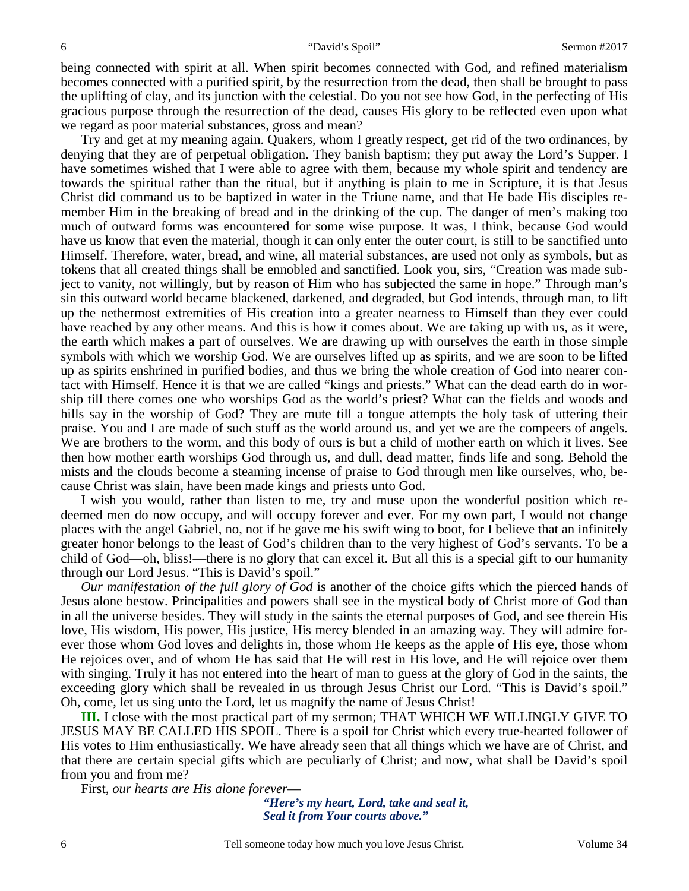being connected with spirit at all. When spirit becomes connected with God, and refined materialism becomes connected with a purified spirit, by the resurrection from the dead, then shall be brought to pass the uplifting of clay, and its junction with the celestial. Do you not see how God, in the perfecting of His gracious purpose through the resurrection of the dead, causes His glory to be reflected even upon what we regard as poor material substances, gross and mean?

Try and get at my meaning again. Quakers, whom I greatly respect, get rid of the two ordinances, by denying that they are of perpetual obligation. They banish baptism; they put away the Lord's Supper. I have sometimes wished that I were able to agree with them, because my whole spirit and tendency are towards the spiritual rather than the ritual, but if anything is plain to me in Scripture, it is that Jesus Christ did command us to be baptized in water in the Triune name, and that He bade His disciples remember Him in the breaking of bread and in the drinking of the cup. The danger of men's making too much of outward forms was encountered for some wise purpose. It was, I think, because God would have us know that even the material, though it can only enter the outer court, is still to be sanctified unto Himself. Therefore, water, bread, and wine, all material substances, are used not only as symbols, but as tokens that all created things shall be ennobled and sanctified. Look you, sirs, "Creation was made subject to vanity, not willingly, but by reason of Him who has subjected the same in hope." Through man's sin this outward world became blackened, darkened, and degraded, but God intends, through man, to lift up the nethermost extremities of His creation into a greater nearness to Himself than they ever could have reached by any other means. And this is how it comes about. We are taking up with us, as it were, the earth which makes a part of ourselves. We are drawing up with ourselves the earth in those simple symbols with which we worship God. We are ourselves lifted up as spirits, and we are soon to be lifted up as spirits enshrined in purified bodies, and thus we bring the whole creation of God into nearer contact with Himself. Hence it is that we are called "kings and priests." What can the dead earth do in worship till there comes one who worships God as the world's priest? What can the fields and woods and hills say in the worship of God? They are mute till a tongue attempts the holy task of uttering their praise. You and I are made of such stuff as the world around us, and yet we are the compeers of angels. We are brothers to the worm, and this body of ours is but a child of mother earth on which it lives. See then how mother earth worships God through us, and dull, dead matter, finds life and song. Behold the mists and the clouds become a steaming incense of praise to God through men like ourselves, who, because Christ was slain, have been made kings and priests unto God.

I wish you would, rather than listen to me, try and muse upon the wonderful position which redeemed men do now occupy, and will occupy forever and ever. For my own part, I would not change places with the angel Gabriel, no, not if he gave me his swift wing to boot, for I believe that an infinitely greater honor belongs to the least of God's children than to the very highest of God's servants. To be a child of God—oh, bliss!—there is no glory that can excel it. But all this is a special gift to our humanity through our Lord Jesus. "This is David's spoil."

*Our manifestation of the full glory of God* is another of the choice gifts which the pierced hands of Jesus alone bestow. Principalities and powers shall see in the mystical body of Christ more of God than in all the universe besides. They will study in the saints the eternal purposes of God, and see therein His love, His wisdom, His power, His justice, His mercy blended in an amazing way. They will admire forever those whom God loves and delights in, those whom He keeps as the apple of His eye, those whom He rejoices over, and of whom He has said that He will rest in His love, and He will rejoice over them with singing. Truly it has not entered into the heart of man to guess at the glory of God in the saints, the exceeding glory which shall be revealed in us through Jesus Christ our Lord. "This is David's spoil." Oh, come, let us sing unto the Lord, let us magnify the name of Jesus Christ!

**III.** I close with the most practical part of my sermon; THAT WHICH WE WILLINGLY GIVE TO JESUS MAY BE CALLED HIS SPOIL. There is a spoil for Christ which every true-hearted follower of His votes to Him enthusiastically. We have already seen that all things which we have are of Christ, and that there are certain special gifts which are peculiarly of Christ; and now, what shall be David's spoil from you and from me?

First, *our hearts are His alone forever*—

*"Here's my heart, Lord, take and seal it, Seal it from Your courts above."* 

6

6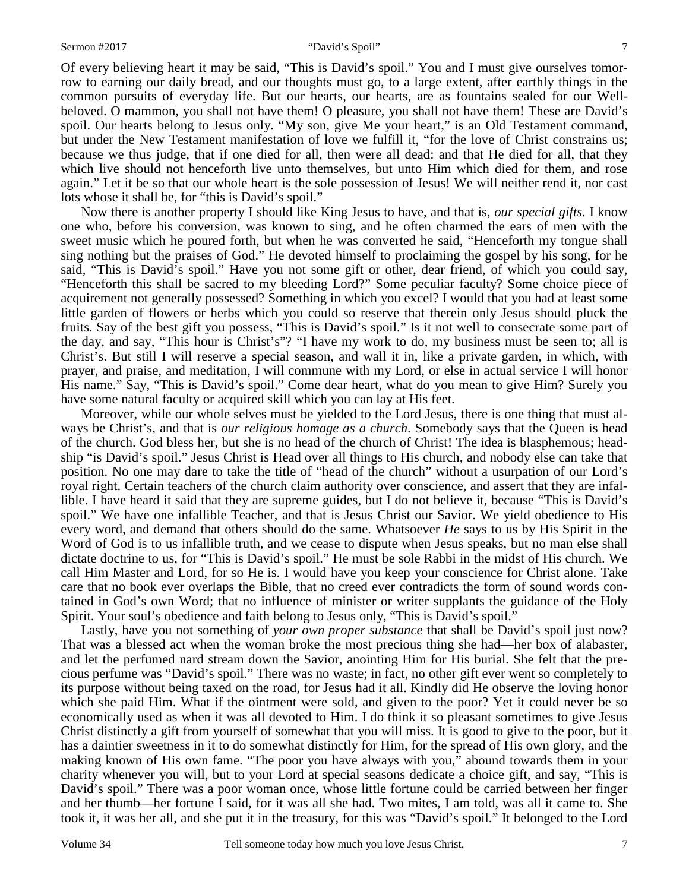Of every believing heart it may be said, "This is David's spoil." You and I must give ourselves tomorrow to earning our daily bread, and our thoughts must go, to a large extent, after earthly things in the common pursuits of everyday life. But our hearts, our hearts, are as fountains sealed for our Wellbeloved. O mammon, you shall not have them! O pleasure, you shall not have them! These are David's spoil. Our hearts belong to Jesus only. "My son, give Me your heart," is an Old Testament command, but under the New Testament manifestation of love we fulfill it, "for the love of Christ constrains us; because we thus judge, that if one died for all, then were all dead: and that He died for all, that they which live should not henceforth live unto themselves, but unto Him which died for them, and rose again." Let it be so that our whole heart is the sole possession of Jesus! We will neither rend it, nor cast lots whose it shall be, for "this is David's spoil."

Now there is another property I should like King Jesus to have, and that is, *our special gifts*. I know one who, before his conversion, was known to sing, and he often charmed the ears of men with the sweet music which he poured forth, but when he was converted he said, "Henceforth my tongue shall sing nothing but the praises of God." He devoted himself to proclaiming the gospel by his song, for he said, "This is David's spoil." Have you not some gift or other, dear friend, of which you could say, "Henceforth this shall be sacred to my bleeding Lord?" Some peculiar faculty? Some choice piece of acquirement not generally possessed? Something in which you excel? I would that you had at least some little garden of flowers or herbs which you could so reserve that therein only Jesus should pluck the fruits. Say of the best gift you possess, "This is David's spoil." Is it not well to consecrate some part of the day, and say, "This hour is Christ's"? "I have my work to do, my business must be seen to; all is Christ's. But still I will reserve a special season, and wall it in, like a private garden, in which, with prayer, and praise, and meditation, I will commune with my Lord, or else in actual service I will honor His name." Say, "This is David's spoil." Come dear heart, what do you mean to give Him? Surely you have some natural faculty or acquired skill which you can lay at His feet.

Moreover, while our whole selves must be yielded to the Lord Jesus, there is one thing that must always be Christ's, and that is *our religious homage as a church*. Somebody says that the Queen is head of the church. God bless her, but she is no head of the church of Christ! The idea is blasphemous; headship "is David's spoil." Jesus Christ is Head over all things to His church, and nobody else can take that position. No one may dare to take the title of "head of the church" without a usurpation of our Lord's royal right. Certain teachers of the church claim authority over conscience, and assert that they are infallible. I have heard it said that they are supreme guides, but I do not believe it, because "This is David's spoil." We have one infallible Teacher, and that is Jesus Christ our Savior. We yield obedience to His every word, and demand that others should do the same. Whatsoever *He* says to us by His Spirit in the Word of God is to us infallible truth, and we cease to dispute when Jesus speaks, but no man else shall dictate doctrine to us, for "This is David's spoil." He must be sole Rabbi in the midst of His church. We call Him Master and Lord, for so He is. I would have you keep your conscience for Christ alone. Take care that no book ever overlaps the Bible, that no creed ever contradicts the form of sound words contained in God's own Word; that no influence of minister or writer supplants the guidance of the Holy Spirit. Your soul's obedience and faith belong to Jesus only, "This is David's spoil."

Lastly, have you not something of *your own proper substance* that shall be David's spoil just now? That was a blessed act when the woman broke the most precious thing she had—her box of alabaster, and let the perfumed nard stream down the Savior, anointing Him for His burial. She felt that the precious perfume was "David's spoil." There was no waste; in fact, no other gift ever went so completely to its purpose without being taxed on the road, for Jesus had it all. Kindly did He observe the loving honor which she paid Him. What if the ointment were sold, and given to the poor? Yet it could never be so economically used as when it was all devoted to Him. I do think it so pleasant sometimes to give Jesus Christ distinctly a gift from yourself of somewhat that you will miss. It is good to give to the poor, but it has a daintier sweetness in it to do somewhat distinctly for Him, for the spread of His own glory, and the making known of His own fame. "The poor you have always with you," abound towards them in your charity whenever you will, but to your Lord at special seasons dedicate a choice gift, and say, "This is David's spoil." There was a poor woman once, whose little fortune could be carried between her finger and her thumb—her fortune I said, for it was all she had. Two mites, I am told, was all it came to. She took it, it was her all, and she put it in the treasury, for this was "David's spoil." It belonged to the Lord